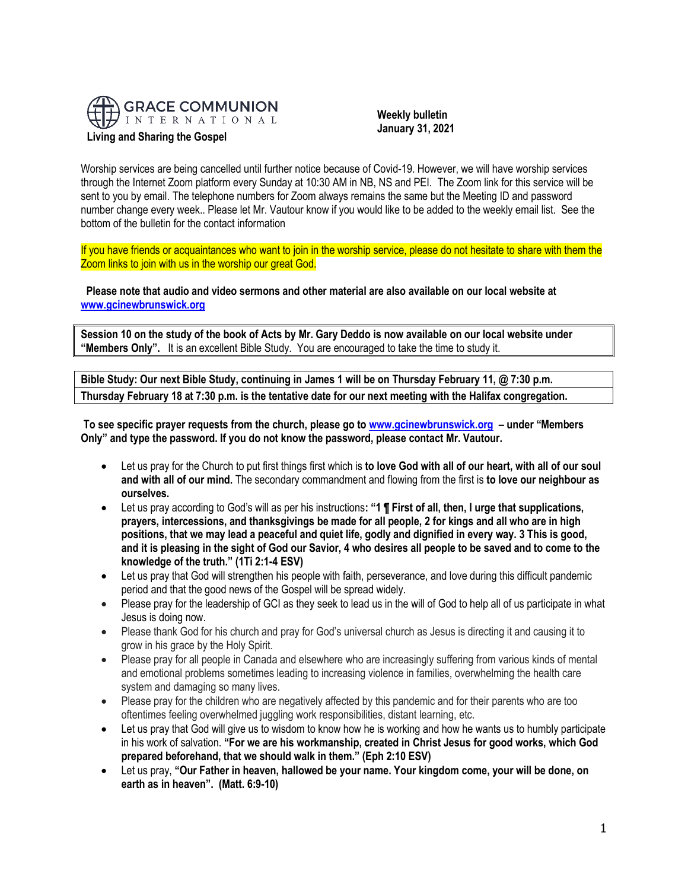

 **Weekly bulletin January 31, 2021**

Worship services are being cancelled until further notice because of Covid-19. However, we will have worship services through the Internet Zoom platform every Sunday at 10:30 AM in NB, NS and PEI. The Zoom link for this service will be sent to you by email. The telephone numbers for Zoom always remains the same but the Meeting ID and password number change every week.. Please let Mr. Vautour know if you would like to be added to the weekly email list. See the bottom of the bulletin for the contact information

If you have friends or acquaintances who want to join in the worship service, please do not hesitate to share with them the Zoom links to join with us in the worship our great God.

**Please note that audio and video sermons and other material are also available on our local website at [www.gcinewbrunswick.org](http://www.gcinewbrunswick.org/)**

**Session 10 on the study of the book of Acts by Mr. Gary Deddo is now available on our local website under "Members Only".** It is an excellent Bible Study. You are encouraged to take the time to study it.

**Bible Study: Our next Bible Study, continuing in James 1 will be on Thursday February 11, @ 7:30 p.m. Thursday February 18 at 7:30 p.m. is the tentative date for our next meeting with the Halifax congregation.**

**To see specific prayer requests from the church, please go t[o www.gcinewbrunswick.org](http://www.gcinewbrunswick.org/) – under "Members Only" and type the password. If you do not know the password, please contact Mr. Vautour.**

- Let us pray for the Church to put first things first which is **to love God with all of our heart, with all of our soul and with all of our mind.** The secondary commandment and flowing from the first is **to love our neighbour as ourselves.**
- Let us pray according to God's will as per his instructions**: "1 ¶ First of all, then, I urge that supplications, prayers, intercessions, and thanksgivings be made for all people, 2 for kings and all who are in high positions, that we may lead a peaceful and quiet life, godly and dignified in every way. 3 This is good, and it is pleasing in the sight of God our Savior, 4 who desires all people to be saved and to come to the knowledge of the truth." (1Ti 2:1-4 ESV)**
- Let us pray that God will strengthen his people with faith, perseverance, and love during this difficult pandemic period and that the good news of the Gospel will be spread widely.
- Please pray for the leadership of GCI as they seek to lead us in the will of God to help all of us participate in what Jesus is doing now.
- Please thank God for his church and pray for God's universal church as Jesus is directing it and causing it to grow in his grace by the Holy Spirit.
- Please pray for all people in Canada and elsewhere who are increasingly suffering from various kinds of mental and emotional problems sometimes leading to increasing violence in families, overwhelming the health care system and damaging so many lives.
- Please pray for the children who are negatively affected by this pandemic and for their parents who are too oftentimes feeling overwhelmed juggling work responsibilities, distant learning, etc.
- Let us pray that God will give us to wisdom to know how he is working and how he wants us to humbly participate in his work of salvation. **"For we are his workmanship, created in Christ Jesus for good works, which God prepared beforehand, that we should walk in them." (Eph 2:10 ESV)**
- Let us pray, **"Our Father in heaven, hallowed be your name. Your kingdom come, your will be done, on earth as in heaven". (Matt. 6:9-10)**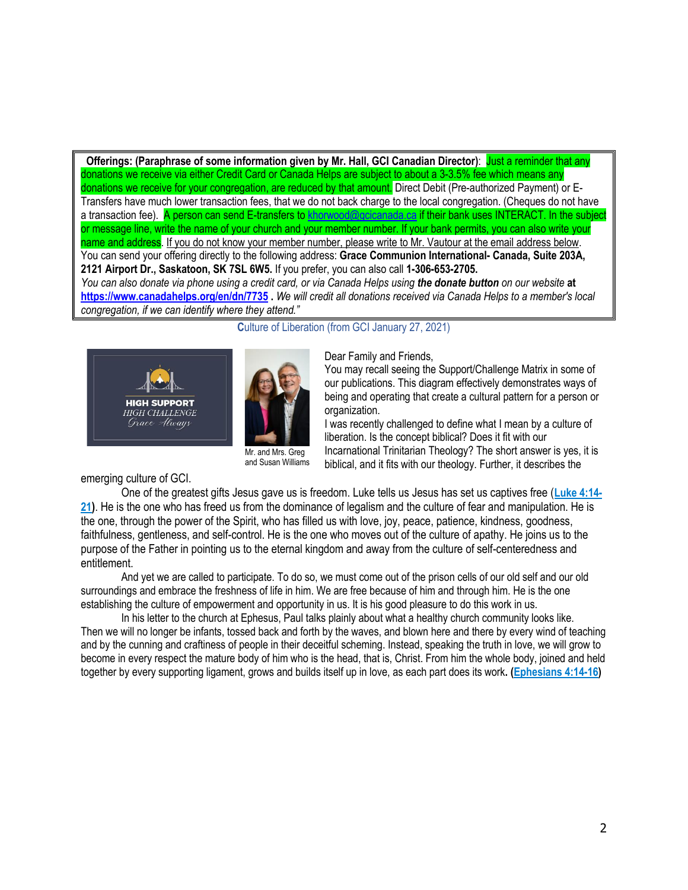**Offerings:** (Paraphrase of some information given by Mr. Hall, GCI Canadian Director): Just a reminder that any donations we receive via either Credit Card or Canada Helps are subject to about a 3-3.5% fee which means any donations we receive for your congregation, are reduced by that amount. Direct Debit (Pre-authorized Payment) or E-Transfers have much lower transaction fees, that we do not back charge to the local congregation. (Cheques do not have a transaction fee). A person can send E-transfers to [khorwood@gcicanada.ca](mailto:khorwood@gcicanada.ca) if their bank uses INTERACT. In the subject or message line, write the name of your church and your member number. If your bank permits, you can also write your name and address. If you do not know your member number, please write to Mr. Vautour at the email address below. You can send your offering directly to the following address: **Grace Communion International- Canada, Suite 203A, 2121 Airport Dr., Saskatoon, SK 7SL 6W5.** If you prefer, you can also call **1-306-653-2705.**  *You can also donate via phone using a credit card, or via Canada Helps using the donate button on our website* **at <https://www.canadahelps.org/en/dn/7735> .** *We will credit all donations received via Canada Helps to a member's local* 

*congregation, if we can identify where they attend."*



**Culture of Liberation (from GCI January 27, 2021)** 

Dear Family and Friends,

You may recall seeing the Support/Challenge Matrix in some of our publications. This diagram effectively demonstrates ways of being and operating that create a cultural pattern for a person or organization.

I was recently challenged to define what I mean by a culture of liberation. Is the concept biblical? Does it fit with our Incarnational Trinitarian Theology? The short answer is yes, it is biblical, and it fits with our theology. Further, it describes the

emerging culture of GCI.

One of the greatest gifts Jesus gave us is freedom. Luke tells us Jesus has set us captives free (**[Luke 4:14-](https://biblia.com/bible/niv/Luke%204.14-21) [21](https://biblia.com/bible/niv/Luke%204.14-21))**. He is the one who has freed us from the dominance of legalism and the culture of fear and manipulation. He is the one, through the power of the Spirit, who has filled us with love, joy, peace, patience, kindness, goodness, faithfulness, gentleness, and self-control. He is the one who moves out of the culture of apathy. He joins us to the purpose of the Father in pointing us to the eternal kingdom and away from the culture of self-centeredness and entitlement.

and Susan Williams

And yet we are called to participate. To do so, we must come out of the prison cells of our old self and our old surroundings and embrace the freshness of life in him. We are free because of him and through him. He is the one establishing the culture of empowerment and opportunity in us. It is his good pleasure to do this work in us.

In his letter to the church at Ephesus, Paul talks plainly about what a healthy church community looks like. Then we will no longer be infants, tossed back and forth by the waves, and blown here and there by every wind of teaching and by the cunning and craftiness of people in their deceitful scheming. Instead, speaking the truth in love, we will grow to become in every respect the mature body of him who is the head, that is, Christ. From him the whole body, joined and held together by every supporting ligament, grows and builds itself up in love, as each part does its work**. [\(Ephesians 4:14-16\)](https://biblia.com/bible/niv/Eph%204.14-16)**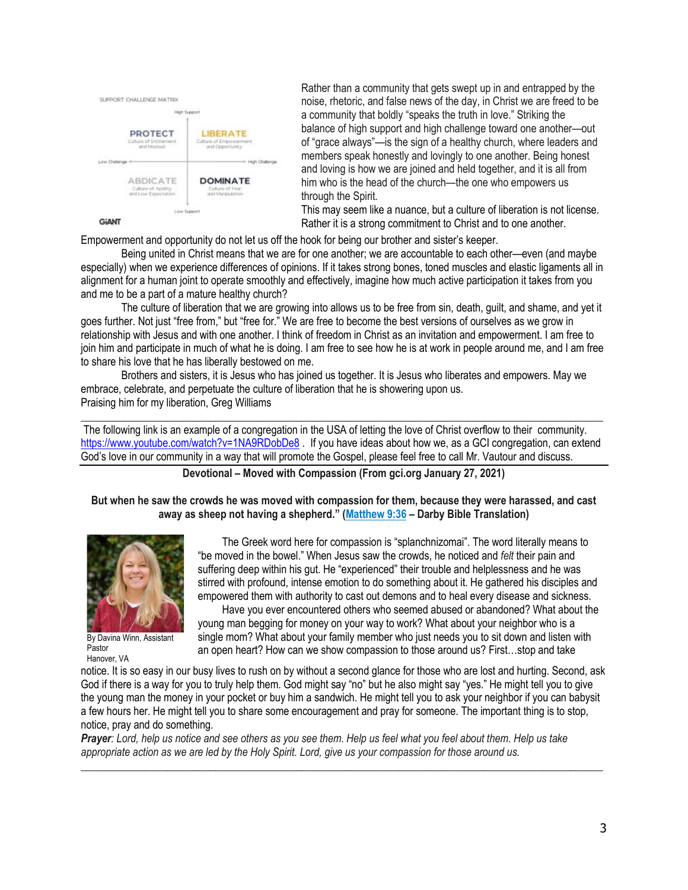

**GiANT** 

Rather than a community that gets swept up in and entrapped by the noise, rhetoric, and false news of the day, in Christ we are freed to be a community that boldly "speaks the truth in love." Striking the balance of high support and high challenge toward one another—out of "grace always"—is the sign of a healthy church, where leaders and members speak honestly and lovingly to one another. Being honest and loving is how we are joined and held together, and it is all from him who is the head of the church—the one who empowers us through the Spirit.

This may seem like a nuance, but a culture of liberation is not license. Rather it is a strong commitment to Christ and to one another.

Empowerment and opportunity do not let us off the hook for being our brother and sister's keeper.

Being united in Christ means that we are for one another; we are accountable to each other—even (and maybe especially) when we experience differences of opinions. If it takes strong bones, toned muscles and elastic ligaments all in alignment for a human joint to operate smoothly and effectively, imagine how much active participation it takes from you and me to be a part of a mature healthy church?

The culture of liberation that we are growing into allows us to be free from sin, death, guilt, and shame, and yet it goes further. Not just "free from," but "free for." We are free to become the best versions of ourselves as we grow in relationship with Jesus and with one another. I think of freedom in Christ as an invitation and empowerment. I am free to join him and participate in much of what he is doing. I am free to see how he is at work in people around me, and I am free to share his love that he has liberally bestowed on me.

Brothers and sisters, it is Jesus who has joined us together. It is Jesus who liberates and empowers. May we embrace, celebrate, and perpetuate the culture of liberation that he is showering upon us. Praising him for my liberation, Greg Williams

**\_\_\_\_\_\_\_\_\_\_\_\_\_\_\_\_\_\_\_\_\_\_\_\_\_\_\_\_\_\_\_\_\_\_\_\_\_\_\_\_\_\_\_\_\_\_\_\_\_\_\_\_\_\_\_\_\_\_\_\_\_\_\_\_\_\_\_\_\_\_\_\_\_\_\_\_\_\_\_\_\_\_\_\_\_\_\_\_\_\_\_\_\_\_\_\_\_** The following link is an example of a congregation in the USA of letting the love of Christ overflow to their community. <https://www.youtube.com/watch?v=1NA9RDobDe8> . If you have ideas about how we, as a GCI congregation, can extend God's love in our community in a way that will promote the Gospel, please feel free to call Mr. Vautour and discuss.

**Devotional – Moved with Compassion (From gci.org January 27, 2021)**

**But when he saw the crowds he was moved with compassion for them, because they were harassed, and cast away as sheep not having a shepherd." ([Matthew 9:36](https://biblia.com/bible/niv/Matt%209.36) – Darby Bible Translation)**



By Davina Winn, Assistant Pastor Hanover, VA

 The Greek word here for compassion is "splanchnizomai". The word literally means to "be moved in the bowel." When Jesus saw the crowds, he noticed and *felt* their pain and suffering deep within his gut. He "experienced" their trouble and helplessness and he was stirred with profound, intense emotion to do something about it. He gathered his disciples and empowered them with authority to cast out demons and to heal every disease and sickness.

 Have you ever encountered others who seemed abused or abandoned? What about the young man begging for money on your way to work? What about your neighbor who is a single mom? What about your family member who just needs you to sit down and listen with an open heart? How can we show compassion to those around us? First…stop and take

notice. It is so easy in our busy lives to rush on by without a second glance for those who are lost and hurting. Second, ask God if there is a way for you to truly help them. God might say "no" but he also might say "yes." He might tell you to give the young man the money in your pocket or buy him a sandwich. He might tell you to ask your neighbor if you can babysit a few hours her. He might tell you to share some encouragement and pray for someone. The important thing is to stop, notice, pray and do something.

\_\_\_\_\_\_\_\_\_\_\_\_\_\_\_\_\_\_\_\_\_\_\_\_\_\_\_\_\_\_\_\_\_\_\_\_\_\_\_\_\_\_\_\_\_\_\_\_\_\_\_\_\_\_\_\_\_\_\_\_\_\_\_\_\_\_\_\_\_\_\_\_\_\_\_\_\_\_\_\_\_\_\_\_\_\_\_\_\_\_\_\_\_\_\_\_\_

*Prayer: Lord, help us notice and see others as you see them. Help us feel what you feel about them. Help us take appropriate action as we are led by the Holy Spirit. Lord, give us your compassion for those around us.*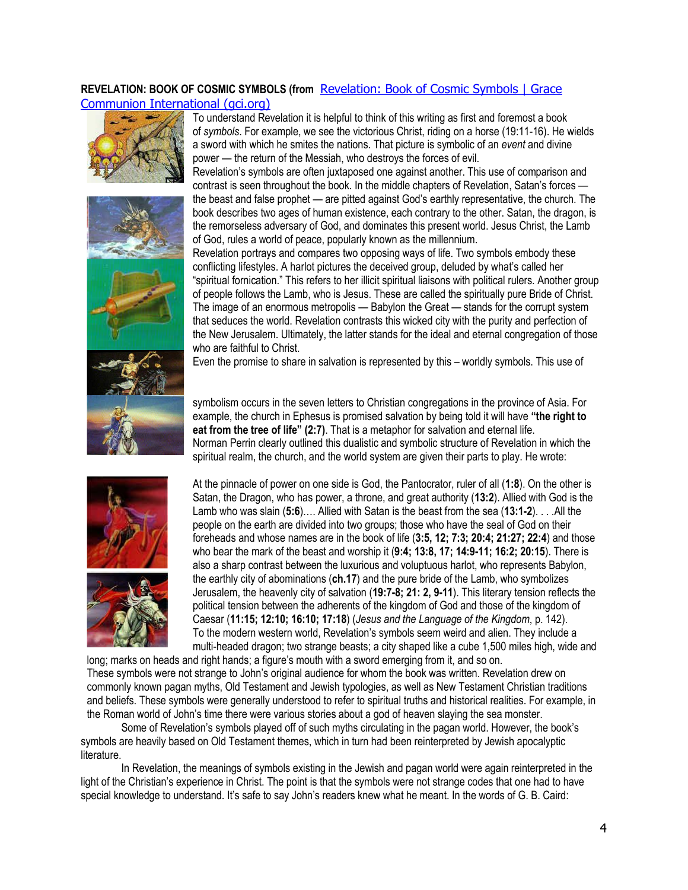## **REVELATION: BOOK OF COSMIC SYMBOLS (from** [Revelation: Book of Cosmic Symbols | Grace](https://www.gci.org/articles/revelation-book-of-cosmic-symbols/)  [Communion International \(gci.org\)](https://www.gci.org/articles/revelation-book-of-cosmic-symbols/)











Revelation's symbols are often juxtaposed one against another. This use of comparison and contrast is seen throughout the book. In the middle chapters of Revelation, Satan's forces the beast and false prophet — are pitted against God's earthly representative, the church. The book describes two ages of human existence, each contrary to the other. Satan, the dragon, is the remorseless adversary of God, and dominates this present world. Jesus Christ, the Lamb of God, rules a world of peace, popularly known as the millennium.

Revelation portrays and compares two opposing ways of life. Two symbols embody these conflicting lifestyles. A harlot pictures the deceived group, deluded by what's called her "spiritual fornication." This refers to her illicit spiritual liaisons with political rulers. Another group of people follows the Lamb, who is Jesus. These are called the spiritually pure Bride of Christ. The image of an enormous metropolis — Babylon the Great — stands for the corrupt system that seduces the world. Revelation contrasts this wicked city with the purity and perfection of the New Jerusalem. Ultimately, the latter stands for the ideal and eternal congregation of those who are faithful to Christ.

Even the promise to share in salvation is represented by this – worldly symbols. This use of

symbolism occurs in the seven letters to Christian congregations in the province of Asia. For example, the church in Ephesus is promised salvation by being told it will have **"the right to eat from the tree of life" (2:7)**. That is a metaphor for salvation and eternal life. Norman Perrin clearly outlined this dualistic and symbolic structure of Revelation in which the spiritual realm, the church, and the world system are given their parts to play. He wrote:





At the pinnacle of power on one side is God, the Pantocrator, ruler of all (**1:8**). On the other is Satan, the Dragon, who has power, a throne, and great authority (**13:2**). Allied with God is the Lamb who was slain (**5:6**)…. Allied with Satan is the beast from the sea (**13:1-2**). . . .All the people on the earth are divided into two groups; those who have the seal of God on their foreheads and whose names are in the book of life (**3:5, 12; 7:3; 20:4; 21:27; 22:4**) and those who bear the mark of the beast and worship it (**9:4; 13:8, 17; 14:9-11; 16:2; 20:15**). There is also a sharp contrast between the luxurious and voluptuous harlot, who represents Babylon, the earthly city of abominations (**ch.17**) and the pure bride of the Lamb, who symbolizes Jerusalem, the heavenly city of salvation (**19:7-8; 21: 2, 9-11**). This literary tension reflects the political tension between the adherents of the kingdom of God and those of the kingdom of Caesar (**11:15; 12:10; 16:10; 17:18**) (*Jesus and the Language of the Kingdom*, p. 142). To the modern western world, Revelation's symbols seem weird and alien. They include a multi-headed dragon; two strange beasts; a city shaped like a cube 1,500 miles high, wide and

long; marks on heads and right hands; a figure's mouth with a sword emerging from it, and so on. These symbols were not strange to John's original audience for whom the book was written. Revelation drew on commonly known pagan myths, Old Testament and Jewish typologies, as well as New Testament Christian traditions and beliefs. These symbols were generally understood to refer to spiritual truths and historical realities. For example, in the Roman world of John's time there were various stories about a god of heaven slaying the sea monster.

Some of Revelation's symbols played off of such myths circulating in the pagan world. However, the book's symbols are heavily based on Old Testament themes, which in turn had been reinterpreted by Jewish apocalyptic literature.

In Revelation, the meanings of symbols existing in the Jewish and pagan world were again reinterpreted in the light of the Christian's experience in Christ. The point is that the symbols were not strange codes that one had to have special knowledge to understand. It's safe to say John's readers knew what he meant. In the words of G. B. Caird: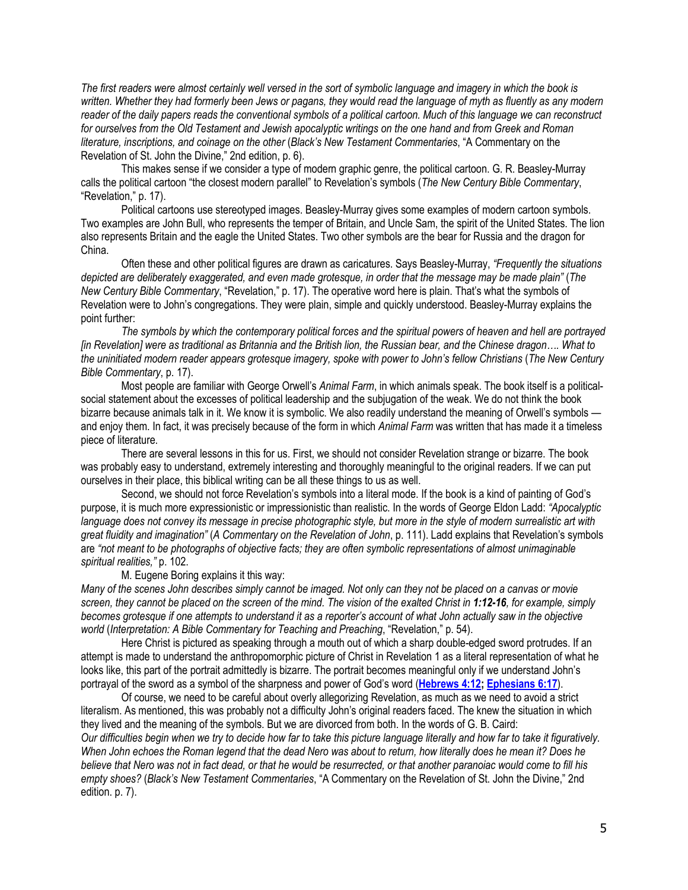*The first readers were almost certainly well versed in the sort of symbolic language and imagery in which the book is written. Whether they had formerly been Jews or pagans, they would read the language of myth as fluently as any modern reader of the daily papers reads the conventional symbols of a political cartoon. Much of this language we can reconstruct for ourselves from the Old Testament and Jewish apocalyptic writings on the one hand and from Greek and Roman literature, inscriptions, and coinage on the other* (*Black's New Testament Commentaries*, "A Commentary on the Revelation of St. John the Divine," 2nd edition, p. 6).

This makes sense if we consider a type of modern graphic genre, the political cartoon. G. R. Beasley-Murray calls the political cartoon "the closest modern parallel" to Revelation's symbols (*The New Century Bible Commentary*, "Revelation," p. 17).

Political cartoons use stereotyped images. Beasley-Murray gives some examples of modern cartoon symbols. Two examples are John Bull, who represents the temper of Britain, and Uncle Sam, the spirit of the United States. The lion also represents Britain and the eagle the United States. Two other symbols are the bear for Russia and the dragon for China.

Often these and other political figures are drawn as caricatures. Says Beasley-Murray, *"Frequently the situations depicted are deliberately exaggerated, and even made grotesque, in order that the message may be made plain"* (*The New Century Bible Commentary*, "Revelation," p. 17). The operative word here is plain. That's what the symbols of Revelation were to John's congregations. They were plain, simple and quickly understood. Beasley-Murray explains the point further:

*The symbols by which the contemporary political forces and the spiritual powers of heaven and hell are portrayed [in Revelation] were as traditional as Britannia and the British lion, the Russian bear, and the Chinese dragon…. What to the uninitiated modern reader appears grotesque imagery, spoke with power to John's fellow Christians* (*The New Century Bible Commentary*, p. 17).

Most people are familiar with George Orwell's *Animal Farm*, in which animals speak. The book itself is a politicalsocial statement about the excesses of political leadership and the subjugation of the weak. We do not think the book bizarre because animals talk in it. We know it is symbolic. We also readily understand the meaning of Orwell's symbols and enjoy them. In fact, it was precisely because of the form in which *Animal Farm* was written that has made it a timeless piece of literature.

There are several lessons in this for us. First, we should not consider Revelation strange or bizarre. The book was probably easy to understand, extremely interesting and thoroughly meaningful to the original readers. If we can put ourselves in their place, this biblical writing can be all these things to us as well.

Second, we should not force Revelation's symbols into a literal mode. If the book is a kind of painting of God's purpose, it is much more expressionistic or impressionistic than realistic. In the words of George Eldon Ladd: *"Apocalyptic*  language does not convey its message in precise photographic style, but more in the style of modern surrealistic art with *great fluidity and imagination"* (*A Commentary on the Revelation of John*, p. 111). Ladd explains that Revelation's symbols are *"not meant to be photographs of objective facts; they are often symbolic representations of almost unimaginable spiritual realities,"* p. 102.

M. Eugene Boring explains it this way:

*Many of the scenes John describes simply cannot be imaged. Not only can they not be placed on a canvas or movie screen, they cannot be placed on the screen of the mind. The vision of the exalted Christ in 1:12-16, for example, simply becomes grotesque if one attempts to understand it as a reporter's account of what John actually saw in the objective world* (*Interpretation: A Bible Commentary for Teaching and Preaching*, "Revelation," p. 54).

Here Christ is pictured as speaking through a mouth out of which a sharp double-edged sword protrudes. If an attempt is made to understand the anthropomorphic picture of Christ in Revelation 1 as a literal representation of what he looks like, this part of the portrait admittedly is bizarre. The portrait becomes meaningful only if we understand John's portrayal of the sword as a symbol of the sharpness and power of God's word (**[Hebrews 4:12;](https://biblia.com/bible/niv/Heb%204.12) [Ephesians 6:17](https://biblia.com/bible/niv/Eph%206.17)**).

Of course, we need to be careful about overly allegorizing Revelation, as much as we need to avoid a strict literalism. As mentioned, this was probably not a difficulty John's original readers faced. The knew the situation in which they lived and the meaning of the symbols. But we are divorced from both. In the words of G. B. Caird: *Our difficulties begin when we try to decide how far to take this picture language literally and how far to take it figuratively. When John echoes the Roman legend that the dead Nero was about to return, how literally does he mean it? Does he believe that Nero was not in fact dead, or that he would be resurrected, or that another paranoiac would come to fill his empty shoes?* (*Black's New Testament Commentaries*, "A Commentary on the Revelation of St. John the Divine," 2nd edition. p. 7).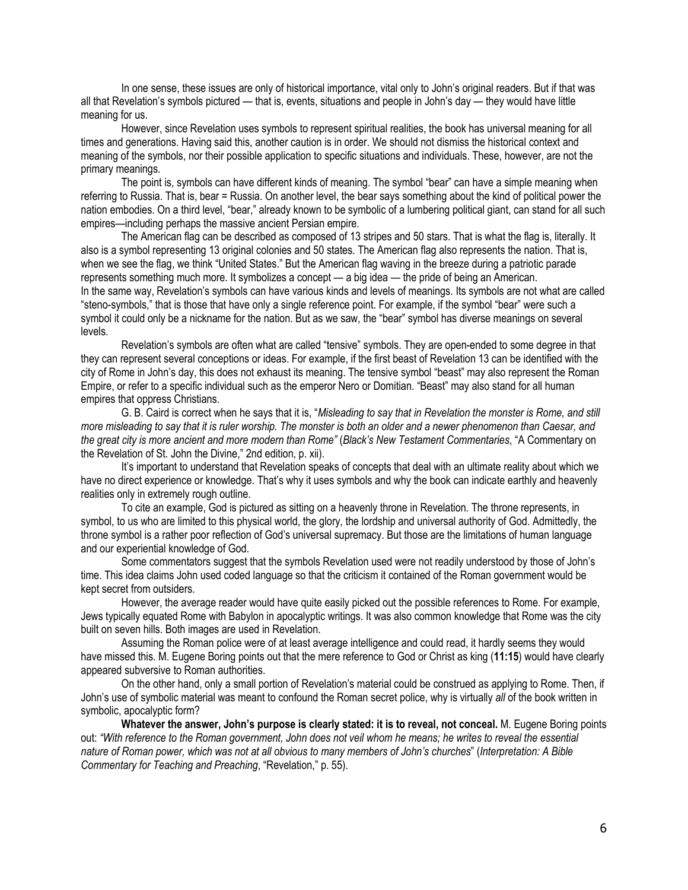In one sense, these issues are only of historical importance, vital only to John's original readers. But if that was all that Revelation's symbols pictured — that is, events, situations and people in John's day — they would have little meaning for us.

However, since Revelation uses symbols to represent spiritual realities, the book has universal meaning for all times and generations. Having said this, another caution is in order. We should not dismiss the historical context and meaning of the symbols, nor their possible application to specific situations and individuals. These, however, are not the primary meanings.

The point is, symbols can have different kinds of meaning. The symbol "bear" can have a simple meaning when referring to Russia. That is, bear = Russia. On another level, the bear says something about the kind of political power the nation embodies. On a third level, "bear," already known to be symbolic of a lumbering political giant, can stand for all such empires—including perhaps the massive ancient Persian empire.

The American flag can be described as composed of 13 stripes and 50 stars. That is what the flag is, literally. It also is a symbol representing 13 original colonies and 50 states. The American flag also represents the nation. That is, when we see the flag, we think "United States." But the American flag waving in the breeze during a patriotic parade represents something much more. It symbolizes a concept — a big idea — the pride of being an American. In the same way, Revelation's symbols can have various kinds and levels of meanings. Its symbols are not what are called "steno-symbols," that is those that have only a single reference point. For example, if the symbol "bear" were such a symbol it could only be a nickname for the nation. But as we saw, the "bear" symbol has diverse meanings on several levels.

Revelation's symbols are often what are called "tensive" symbols. They are open-ended to some degree in that they can represent several conceptions or ideas. For example, if the first beast of Revelation 13 can be identified with the city of Rome in John's day, this does not exhaust its meaning. The tensive symbol "beast" may also represent the Roman Empire, or refer to a specific individual such as the emperor Nero or Domitian. "Beast" may also stand for all human empires that oppress Christians.

G. B. Caird is correct when he says that it is, "*Misleading to say that in Revelation the monster is Rome, and still more misleading to say that it is ruler worship. The monster is both an older and a newer phenomenon than Caesar, and the great city is more ancient and more modern than Rome"* (*Black's New Testament Commentaries*, "A Commentary on the Revelation of St. John the Divine," 2nd edition, p. xii).

It's important to understand that Revelation speaks of concepts that deal with an ultimate reality about which we have no direct experience or knowledge. That's why it uses symbols and why the book can indicate earthly and heavenly realities only in extremely rough outline.

To cite an example, God is pictured as sitting on a heavenly throne in Revelation. The throne represents, in symbol, to us who are limited to this physical world, the glory, the lordship and universal authority of God. Admittedly, the throne symbol is a rather poor reflection of God's universal supremacy. But those are the limitations of human language and our experiential knowledge of God.

Some commentators suggest that the symbols Revelation used were not readily understood by those of John's time. This idea claims John used coded language so that the criticism it contained of the Roman government would be kept secret from outsiders.

However, the average reader would have quite easily picked out the possible references to Rome. For example, Jews typically equated Rome with Babylon in apocalyptic writings. It was also common knowledge that Rome was the city built on seven hills. Both images are used in Revelation.

Assuming the Roman police were of at least average intelligence and could read, it hardly seems they would have missed this. M. Eugene Boring points out that the mere reference to God or Christ as king (**11:15**) would have clearly appeared subversive to Roman authorities.

On the other hand, only a small portion of Revelation's material could be construed as applying to Rome. Then, if John's use of symbolic material was meant to confound the Roman secret police, why is virtually *all* of the book written in symbolic, apocalyptic form?

**Whatever the answer, John's purpose is clearly stated: it is to reveal, not conceal.** M. Eugene Boring points out: *"With reference to the Roman government, John does not veil whom he means; he writes to reveal the essential nature of Roman power, which was not at all obvious to many members of John's churches*" (*Interpretation: A Bible Commentary for Teaching and Preaching*, "Revelation," p. 55).